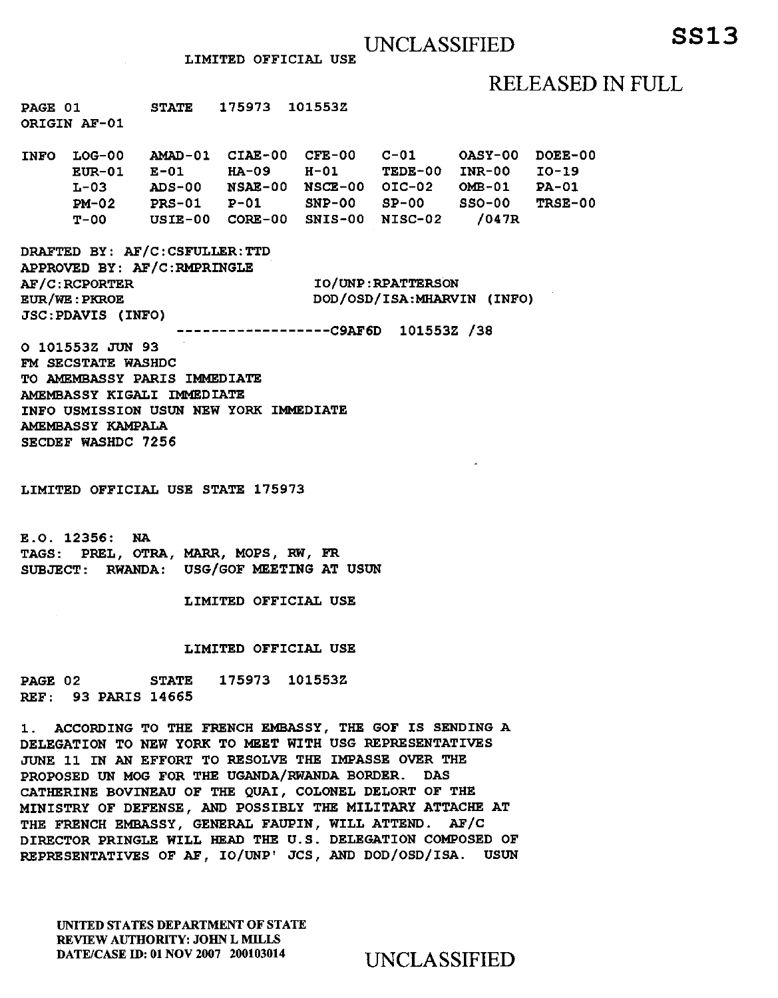## RELEASED IN FULL

**PAGE 01 STATE 175973 101553Z ORIGIN AF-01** 

**INFO LOG-00 AMAD-01 CIAE-00 CFE-00 C-01 OASY-00 DOEE-00 EUR-01 E-01 HA-09 H-01 TEDE-00 INR-00 10-19 L-03 ADS-00 NSAE-00 NSCE-00 01C-02 OMB-01 PA-01 PM-02 PRS-01 P-01 SNP-00 SP-00 SSO-00 TRSE-00 T-00 USIE-00 CORE-00 SNIS-00 NISC-02 /047R** 

**DRAFTED BY: AF/C:CSFULLER:TTD APPROVED BY: AF/C:RMPRrNGLE AF/C:RCPORTER EUR/WE:PRROE JSC:PDAVIS (INFO)** 

**IO/UNP:RPATTERSON** DOD/OSD/ISA:MHARVIN **(INFO)** 

**C9AF6D** 101553Z /38

**O 101553Z** JUN **93 FM SECSTATE WASHDC TO AMEMBASSY PARIS IMMEDIATE AMEMBASSY KIGALI IMMEDIATE INFO USMISSION USUN NEW YORK IMMEDIATE AMEMBASSY KAMPALA SECDEF WASHDC 7256** 

**LIMITED OFFICIAL USE STATE 175973** 

**E.O. 12356: NA TAGS: PREL, OTRA, MARK, MOPS, RW, FR SUBJECT: RWANDA: USG/GOF MEETING AT USUN** 

**LIMITED OFFICIAL USE** 

## **LIMITED OFFICIAL USE**

**PAGE 02 STATE 175973 101553Z REF: 93 PARIS 14665** 

**1. ACCORDING TO THE FRENCH EMBASSY, THE GOF IS SENDING A DELEGATION TO NEW YORK TO MEET WITH** USG **REPRESENTATIVES**  JUNE **11 IN AN EFFORT TO RESOLVE THE IMPASSE OVER THE PROPOSED UN MOG FOR THE UGANDA/RWANDA BORDER. DAS CATHERINE BOVINEAU OF THE QUAI, COLONEL DELORT OF THE MINISTRY OF DEFENSE, AND POSSIBLY THE MILITARY ATTACHE AT THE FRENCH EMBASSY, GENERAL FAUPIN, WILL ATTEND. AF/C DIRECTOR PRINGLE WILL HEAD THE U.S. DELEGATION COMPOSED OF REPRESENTATIVES OF AF, IO/UNP'** JCS, **AND DOD/OSD/ISA. USUN** 

UNITED STATES DEPARTMENT OF STATE REVIEW AUTHORITY: JOHN L MILLS DATE/CASE ID: 01 NOV 2007 200103014 UNCLASSIFIED